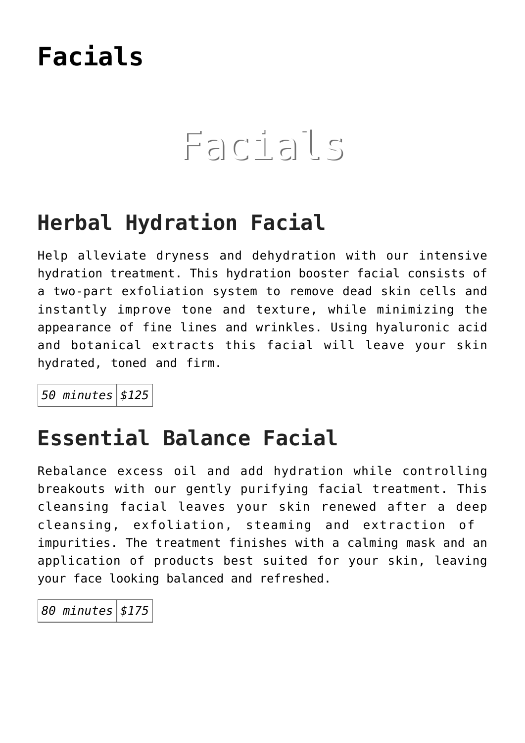### **[Facials](https://thegreenhousedayspa.com/facials/)**

## Facials

### **Herbal Hydration Facial**

Help alleviate dryness and dehydration with our intensive hydration treatment. This hydration booster facial consists of a two-part exfoliation system to remove dead skin cells and instantly improve tone and texture, while minimizing the appearance of fine lines and wrinkles. Using hyaluronic acid and botanical extracts this facial will leave your skin hydrated, toned and firm.

*50 minutes \$125*

### **Essential Balance Facial**

Rebalance excess oil and add hydration while controlling breakouts with our gently purifying facial treatment. This cleansing facial leaves your skin renewed after a deep cleansing, exfoliation, steaming and extraction of impurities. The treatment finishes with a calming mask and an application of products best suited for your skin, leaving your face looking balanced and refreshed.

*80 minutes \$175*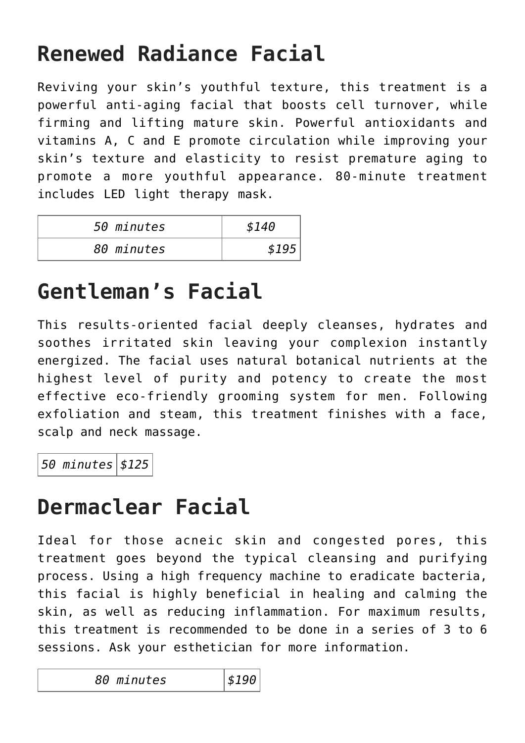### **Renewed Radiance Facial**

Reviving your skin's youthful texture, this treatment is a powerful anti-aging facial that boosts cell turnover, while firming and lifting mature skin. Powerful antioxidants and vitamins A, C and E promote circulation while improving your skin's texture and elasticity to resist premature aging to promote a more youthful appearance. 80-minute treatment includes LED light therapy mask.

| 50 minutes | \$140 |
|------------|-------|
| 80 minutes | \$195 |

### **Gentleman's Facial**

This results-oriented facial deeply cleanses, hydrates and soothes irritated skin leaving your complexion instantly energized. The facial uses natural botanical nutrients at the highest level of purity and potency to create the most effective eco-friendly grooming system for men. Following exfoliation and steam, this treatment finishes with a face, scalp and neck massage.

*50 minutes \$125*

### **Dermaclear Facial**

Ideal for those acneic skin and congested pores, this treatment goes beyond the typical cleansing and purifying process. Using a high frequency machine to eradicate bacteria, this facial is highly beneficial in healing and calming the skin, as well as reducing inflammation. For maximum results, this treatment is recommended to be done in a series of 3 to 6 sessions. Ask your esthetician for more information.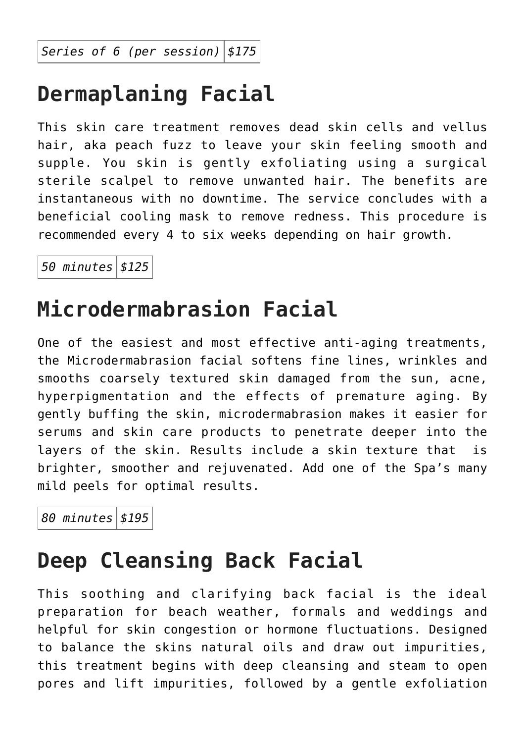*Series of 6 (per session) \$175*

### **Dermaplaning Facial**

This skin care treatment removes dead skin cells and vellus hair, aka peach fuzz to leave your skin feeling smooth and supple. You skin is gently exfoliating using a surgical sterile scalpel to remove unwanted hair. The benefits are instantaneous with no downtime. The service concludes with a beneficial cooling mask to remove redness. This procedure is recommended every 4 to six weeks depending on hair growth.

*50 minutes \$125*

### **Microdermabrasion Facial**

One of the easiest and most effective anti-aging treatments, the Microdermabrasion facial softens fine lines, wrinkles and smooths coarsely textured skin damaged from the sun, acne, hyperpigmentation and the effects of premature aging. By gently buffing the skin, microdermabrasion makes it easier for serums and skin care products to penetrate deeper into the layers of the skin. Results include a skin texture that is brighter, smoother and rejuvenated. Add one of the Spa's many mild peels for optimal results.

*80 minutes \$195*

### **Deep Cleansing Back Facial**

This soothing and clarifying back facial is the ideal preparation for beach weather, formals and weddings and helpful for skin congestion or hormone fluctuations. Designed to balance the skins natural oils and draw out impurities, this treatment begins with deep cleansing and steam to open pores and lift impurities, followed by a gentle exfoliation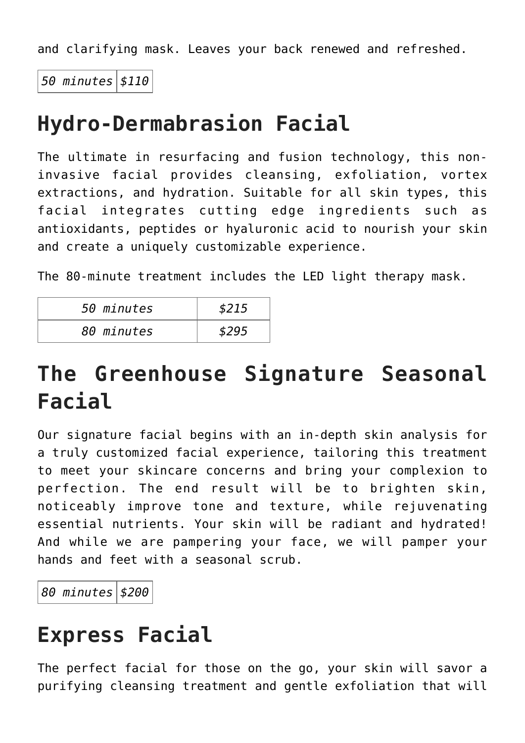and clarifying mask. Leaves your back renewed and refreshed.

*50 minutes \$110*

### **Hydro-Dermabrasion Facial**

The ultimate in resurfacing and fusion technology, this noninvasive facial provides cleansing, exfoliation, vortex extractions, and hydration. Suitable for all skin types, this facial integrates cutting edge ingredients such as antioxidants, peptides or hyaluronic acid to nourish your skin and create a uniquely customizable experience.

The 80-minute treatment includes the LED light therapy mask.

| 50 minutes | \$215 |
|------------|-------|
| 80 minutes | \$295 |

### **The Greenhouse Signature Seasonal Facial**

Our signature facial begins with an in-depth skin analysis for a truly customized facial experience, tailoring this treatment to meet your skincare concerns and bring your complexion to perfection. The end result will be to brighten skin, noticeably improve tone and texture, while rejuvenating essential nutrients. Your skin will be radiant and hydrated! And while we are pampering your face, we will pamper your hands and feet with a seasonal scrub.

*80 minutes \$200*

### **Express Facial**

The perfect facial for those on the go, your skin will savor a purifying cleansing treatment and gentle exfoliation that will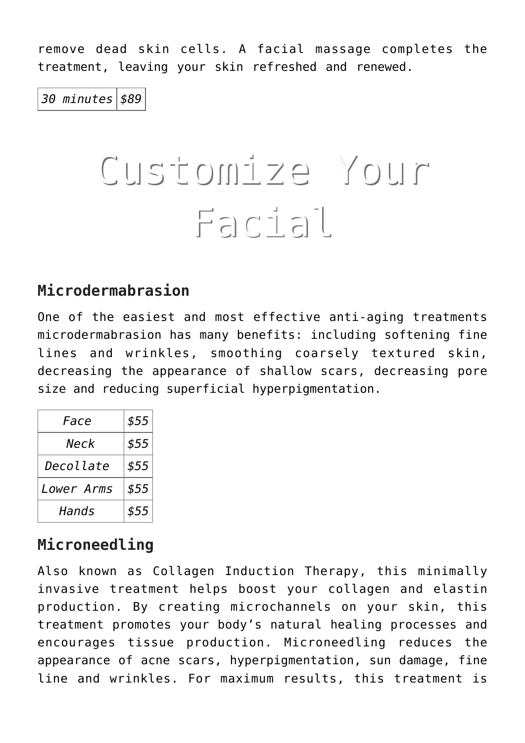remove dead skin cells. A facial massage completes the treatment, leaving your skin refreshed and renewed.

*30 minutes \$89*

# Customize Your Facial

#### **Microdermabrasion**

One of the easiest and most effective anti-aging treatments microdermabrasion has many benefits: including softening fine lines and wrinkles, smoothing coarsely textured skin, decreasing the appearance of shallow scars, decreasing pore size and reducing superficial hyperpigmentation.

| Face       | \$55 |
|------------|------|
| Neck       | \$55 |
| Decollate  | \$55 |
| Lower Arms | \$55 |
| Hands      | \$55 |

#### **Microneedling**

Also known as Collagen Induction Therapy, this minimally invasive treatment helps boost your collagen and elastin production. By creating microchannels on your skin, this treatment promotes your body's natural healing processes and encourages tissue production. Microneedling reduces the appearance of acne scars, hyperpigmentation, sun damage, fine line and wrinkles. For maximum results, this treatment is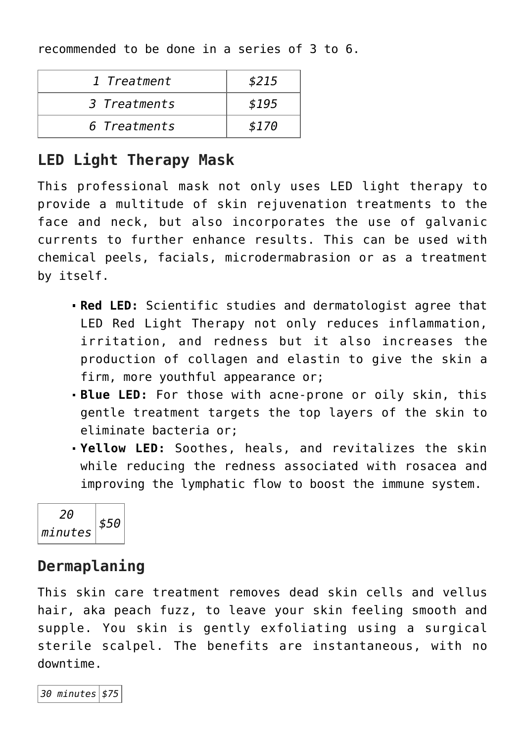recommended to be done in a series of 3 to 6.

| 1 Treatment  | \$215 |
|--------------|-------|
| 3 Treatments | \$195 |
| 6 Treatments | \$170 |

#### **LED Light Therapy Mask**

This professional mask not only uses LED light therapy to provide a multitude of skin rejuvenation treatments to the face and neck, but also incorporates the use of galvanic currents to further enhance results. This can be used with chemical peels, facials, microdermabrasion or as a treatment by itself.

- **Red LED:** Scientific studies and dermatologist agree that LED Red Light Therapy not only reduces inflammation, irritation, and redness but it also increases the production of collagen and elastin to give the skin a firm, more youthful appearance or;
- **Blue LED:** For those with acne-prone or oily skin, this gentle treatment targets the top layers of the skin to eliminate bacteria or;
- **Yellow LED:** Soothes, heals, and revitalizes the skin while reducing the redness associated with rosacea and improving the lymphatic flow to boost the immune system.



#### **Dermaplaning**

This skin care treatment removes dead skin cells and vellus hair, aka peach fuzz, to leave your skin feeling smooth and supple. You skin is gently exfoliating using a surgical sterile scalpel. The benefits are instantaneous, with no downtime.

*30 minutes \$75*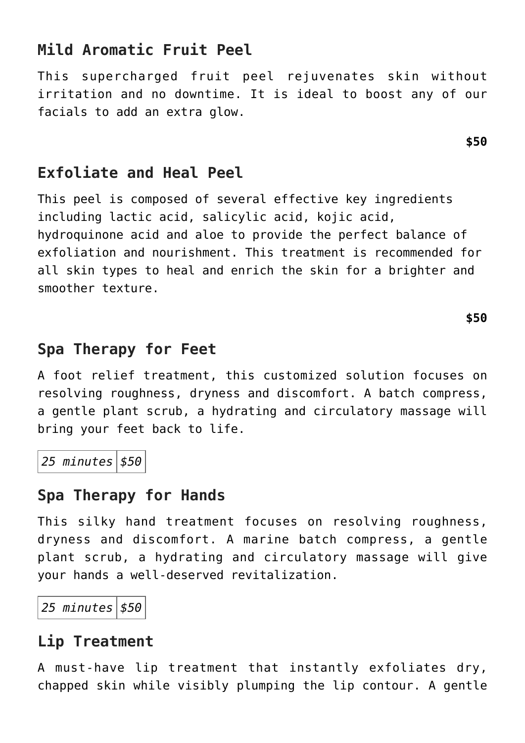#### **Mild Aromatic Fruit Peel**

This supercharged fruit peel rejuvenates skin without irritation and no downtime. It is ideal to boost any of our facials to add an extra glow.

#### **Exfoliate and Heal Peel**

This peel is composed of several effective key ingredients including lactic acid, salicylic acid, kojic acid, hydroquinone acid and aloe to provide the perfect balance of exfoliation and nourishment. This treatment is recommended for all skin types to heal and enrich the skin for a brighter and smoother texture.

#### **Spa Therapy for Feet**

A foot relief treatment, this customized solution focuses on resolving roughness, dryness and discomfort. A batch compress, a gentle plant scrub, a hydrating and circulatory massage will bring your feet back to life.

*25 minutes \$50*

#### **Spa Therapy for Hands**

This silky hand treatment focuses on resolving roughness, dryness and discomfort. A marine batch compress, a gentle plant scrub, a hydrating and circulatory massage will give your hands a well-deserved revitalization.

*25 minutes \$50*

#### **Lip Treatment**

A must-have lip treatment that instantly exfoliates dry, chapped skin while visibly plumping the lip contour. A gentle

**\$50**

**\$50**